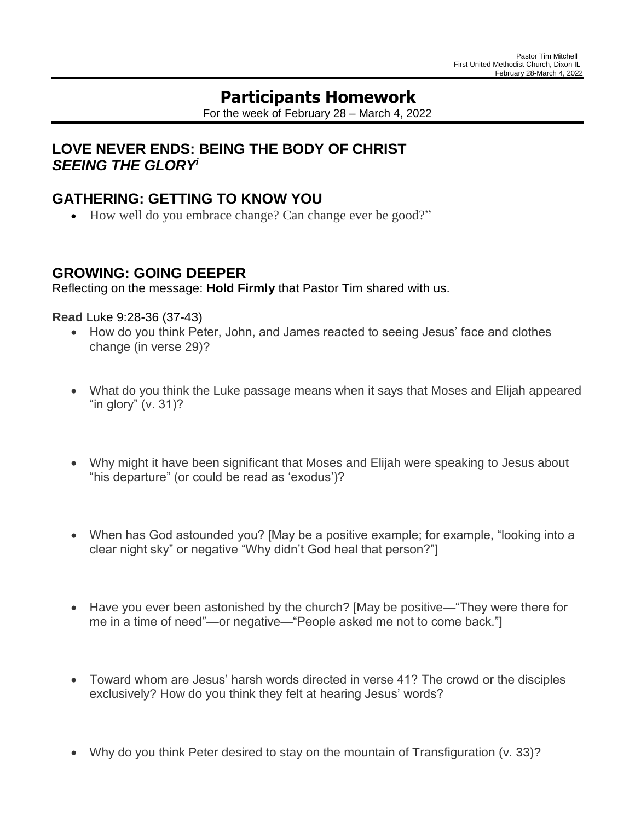# **Participants Homework**

For the week of February 28 – March 4, 2022

## **LOVE NEVER ENDS: BEING THE BODY OF CHRIST** *SEEING THE GLORY i*

## **GATHERING: GETTING TO KNOW YOU**

How well do you embrace change? Can change ever be good?"

### **GROWING: GOING DEEPER**

Reflecting on the message: **Hold Firmly** that Pastor Tim shared with us.

#### **Read** Luke 9:28-36 (37-43)

- How do you think Peter, John, and James reacted to seeing Jesus' face and clothes change (in verse 29)?
- What do you think the Luke passage means when it says that Moses and Elijah appeared "in glory" (v. 31)?
- Why might it have been significant that Moses and Elijah were speaking to Jesus about "his departure" (or could be read as 'exodus')?
- When has God astounded you? [May be a positive example; for example, "looking into a clear night sky" or negative "Why didn't God heal that person?"]
- Have you ever been astonished by the church? [May be positive—"They were there for me in a time of need"—or negative—"People asked me not to come back."]
- Toward whom are Jesus' harsh words directed in verse 41? The crowd or the disciples exclusively? How do you think they felt at hearing Jesus' words?
- Why do you think Peter desired to stay on the mountain of Transfiguration (v. 33)?